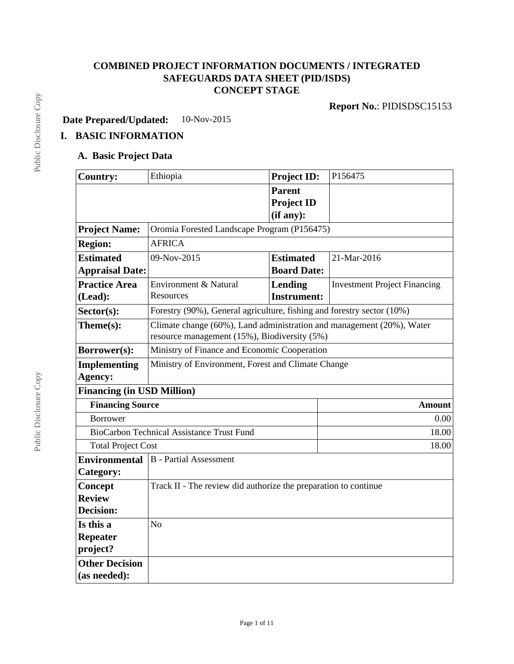# **COMBINED PROJECT INFORMATION DOCUMENTS / INTEGRATED SAFEGUARDS DATA SHEET (PID/ISDS) CONCEPT STAGE**

**Date Prepared/Updated:** 10-Nov-2015

# **I. BASIC INFORMATION**

### **A. Basic Project Data**

| <b>Country:</b>                   | Ethiopia                                                                                                              | <b>Project ID:</b> | P156475                             |  |  |
|-----------------------------------|-----------------------------------------------------------------------------------------------------------------------|--------------------|-------------------------------------|--|--|
|                                   |                                                                                                                       | <b>Parent</b>      |                                     |  |  |
|                                   |                                                                                                                       | <b>Project ID</b>  |                                     |  |  |
|                                   |                                                                                                                       | (if any):          |                                     |  |  |
| <b>Project Name:</b>              | Oromia Forested Landscape Program (P156475)                                                                           |                    |                                     |  |  |
| <b>Region:</b>                    | <b>AFRICA</b>                                                                                                         |                    |                                     |  |  |
| <b>Estimated</b>                  | 09-Nov-2015                                                                                                           | <b>Estimated</b>   | 21-Mar-2016                         |  |  |
| <b>Appraisal Date:</b>            |                                                                                                                       | <b>Board Date:</b> |                                     |  |  |
| <b>Practice Area</b>              | Environment & Natural                                                                                                 | Lending            | <b>Investment Project Financing</b> |  |  |
| (Lead):                           | Resources                                                                                                             | <b>Instrument:</b> |                                     |  |  |
| $Sector(s)$ :                     | Forestry (90%), General agriculture, fishing and forestry sector (10%)                                                |                    |                                     |  |  |
| Theme(s):                         | Climate change (60%), Land administration and management (20%), Water<br>resource management (15%), Biodiversity (5%) |                    |                                     |  |  |
| Borrower(s):                      | Ministry of Finance and Economic Cooperation                                                                          |                    |                                     |  |  |
| <b>Implementing</b>               | Ministry of Environment, Forest and Climate Change                                                                    |                    |                                     |  |  |
| Agency:                           |                                                                                                                       |                    |                                     |  |  |
| <b>Financing (in USD Million)</b> |                                                                                                                       |                    |                                     |  |  |
| <b>Financing Source</b>           |                                                                                                                       |                    | <b>Amount</b>                       |  |  |
| <b>Borrower</b>                   |                                                                                                                       |                    | 0.00                                |  |  |
|                                   | <b>BioCarbon Technical Assistance Trust Fund</b>                                                                      |                    | 18.00                               |  |  |
| <b>Total Project Cost</b>         |                                                                                                                       |                    | 18.00                               |  |  |
| <b>Environmental</b>              | <b>B</b> - Partial Assessment                                                                                         |                    |                                     |  |  |
| Category:                         |                                                                                                                       |                    |                                     |  |  |
| Concept                           | Track II - The review did authorize the preparation to continue                                                       |                    |                                     |  |  |
| <b>Review</b>                     |                                                                                                                       |                    |                                     |  |  |
| <b>Decision:</b>                  |                                                                                                                       |                    |                                     |  |  |
| Is this a                         | N <sub>o</sub>                                                                                                        |                    |                                     |  |  |
| <b>Repeater</b>                   |                                                                                                                       |                    |                                     |  |  |
| project?                          |                                                                                                                       |                    |                                     |  |  |
| <b>Other Decision</b>             |                                                                                                                       |                    |                                     |  |  |
| (as needed):                      |                                                                                                                       |                    |                                     |  |  |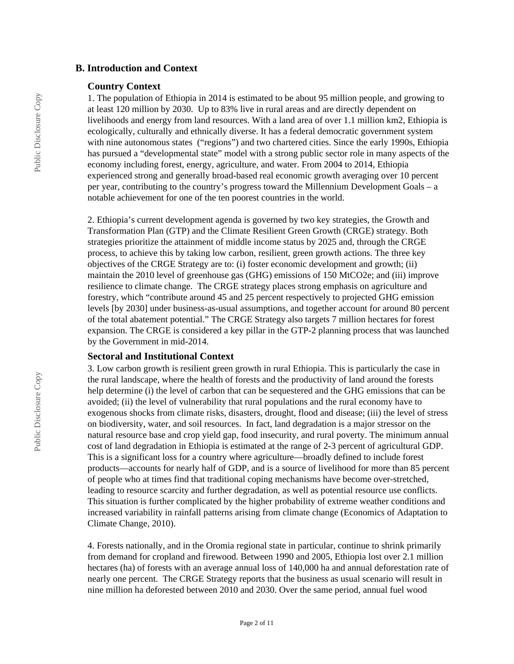#### **B. Introduction and Context**

#### **Country Context**

1. The population of Ethiopia in 2014 is estimated to be about 95 million people, and growing to at least 120 million by 2030. Up to 83% live in rural areas and are directly dependent on livelihoods and energy from land resources. With a land area of over 1.1 million km2, Ethiopia is ecologically, culturally and ethnically diverse. It has a federal democratic government system with nine autonomous states ("regions") and two chartered cities. Since the early 1990s, Ethiopia has pursued a "developmental state" model with a strong public sector role in many aspects of the economy including forest, energy, agriculture, and water. From 2004 to 2014, Ethiopia experienced strong and generally broad-based real economic growth averaging over 10 percent per year, contributing to the country's progress toward the Millennium Development Goals – a notable achievement for one of the ten poorest countries in the world.

2. Ethiopia's current development agenda is governed by two key strategies, the Growth and Transformation Plan (GTP) and the Climate Resilient Green Growth (CRGE) strategy. Both strategies prioritize the attainment of middle income status by 2025 and, through the CRGE process, to achieve this by taking low carbon, resilient, green growth actions. The three key objectives of the CRGE Strategy are to: (i) foster economic development and growth; (ii) maintain the 2010 level of greenhouse gas (GHG) emissions of 150 MtCO2e; and (iii) improve resilience to climate change. The CRGE strategy places strong emphasis on agriculture and forestry, which "contribute around 45 and 25 percent respectively to projected GHG emission levels [by 2030] under business-as-usual assumptions, and together account for around 80 percent of the total abatement potential." The CRGE Strategy also targets 7 million hectares for forest expansion. The CRGE is considered a key pillar in the GTP-2 planning process that was launched by the Government in mid-2014.

#### **Sectoral and Institutional Context**

3. Low carbon growth is resilient green growth in rural Ethiopia. This is particularly the case in the rural landscape, where the health of forests and the productivity of land around the forests help determine (i) the level of carbon that can be sequestered and the GHG emissions that can be avoided; (ii) the level of vulnerability that rural populations and the rural economy have to exogenous shocks from climate risks, disasters, drought, flood and disease; (iii) the level of stress on biodiversity, water, and soil resources. In fact, land degradation is a major stressor on the natural resource base and crop yield gap, food insecurity, and rural poverty. The minimum annual cost of land degradation in Ethiopia is estimated at the range of 2-3 percent of agricultural GDP. This is a significant loss for a country where agriculture—broadly defined to include forest products—accounts for nearly half of GDP, and is a source of livelihood for more than 85 percent of people who at times find that traditional coping mechanisms have become over-stretched, leading to resource scarcity and further degradation, as well as potential resource use conflicts. This situation is further complicated by the higher probability of extreme weather conditions and increased variability in rainfall patterns arising from climate change (Economics of Adaptation to Climate Change, 2010).

4. Forests nationally, and in the Oromia regional state in particular, continue to shrink primarily from demand for cropland and firewood. Between 1990 and 2005, Ethiopia lost over 2.1 million hectares (ha) of forests with an average annual loss of 140,000 ha and annual deforestation rate of nearly one percent. The CRGE Strategy reports that the business as usual scenario will result in nine million ha deforested between 2010 and 2030. Over the same period, annual fuel wood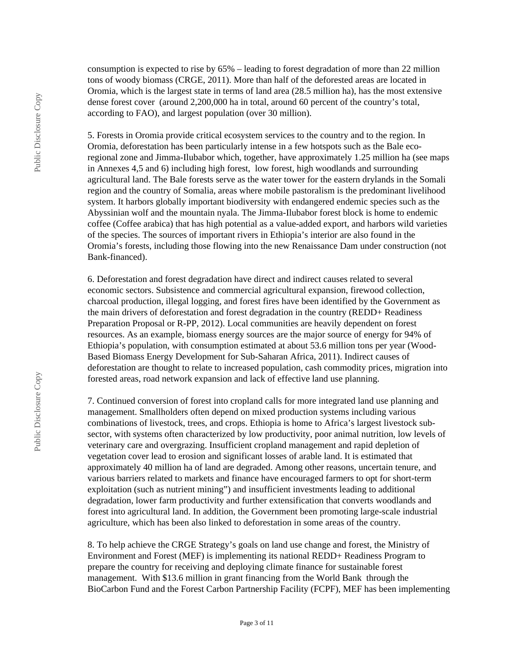consumption is expected to rise by 65% – leading to forest degradation of more than 22 million tons of woody biomass (CRGE, 2011). More than half of the deforested areas are located in Oromia, which is the largest state in terms of land area (28.5 million ha), has the most extensive dense forest cover (around 2,200,000 ha in total, around 60 percent of the country's total, according to FAO), and largest population (over 30 million).

5. Forests in Oromia provide critical ecosystem services to the country and to the region. In Oromia, deforestation has been particularly intense in a few hotspots such as the Bale ecoregional zone and Jimma-Ilubabor which, together, have approximately 1.25 million ha (see maps in Annexes 4,5 and 6) including high forest, low forest, high woodlands and surrounding agricultural land. The Bale forests serve as the water tower for the eastern drylands in the Somali region and the country of Somalia, areas where mobile pastoralism is the predominant livelihood system. It harbors globally important biodiversity with endangered endemic species such as the Abyssinian wolf and the mountain nyala. The Jimma-Ilubabor forest block is home to endemic coffee (Coffee arabica) that has high potential as a value-added export, and harbors wild varieties of the species. The sources of important rivers in Ethiopia's interior are also found in the Oromia's forests, including those flowing into the new Renaissance Dam under construction (not Bank-financed).

6. Deforestation and forest degradation have direct and indirect causes related to several economic sectors. Subsistence and commercial agricultural expansion, firewood collection, charcoal production, illegal logging, and forest fires have been identified by the Government as the main drivers of deforestation and forest degradation in the country (REDD+ Readiness Preparation Proposal or R-PP, 2012). Local communities are heavily dependent on forest resources. As an example, biomass energy sources are the major source of energy for 94% of Ethiopia's population, with consumption estimated at about 53.6 million tons per year (Wood-Based Biomass Energy Development for Sub-Saharan Africa, 2011). Indirect causes of deforestation are thought to relate to increased population, cash commodity prices, migration into forested areas, road network expansion and lack of effective land use planning.

7. Continued conversion of forest into cropland calls for more integrated land use planning and management. Smallholders often depend on mixed production systems including various combinations of livestock, trees, and crops. Ethiopia is home to Africa's largest livestock subsector, with systems often characterized by low productivity, poor animal nutrition, low levels of veterinary care and overgrazing. Insufficient cropland management and rapid depletion of vegetation cover lead to erosion and significant losses of arable land. It is estimated that approximately 40 million ha of land are degraded. Among other reasons, uncertain tenure, and various barriers related to markets and finance have encouraged farmers to opt for short-term exploitation (such as nutrient mining") and insufficient investments leading to additional degradation, lower farm productivity and further extensification that converts woodlands and forest into agricultural land. In addition, the Government been promoting large-scale industrial agriculture, which has been also linked to deforestation in some areas of the country.

8. To help achieve the CRGE Strategy's goals on land use change and forest, the Ministry of Environment and Forest (MEF) is implementing its national REDD+ Readiness Program to prepare the country for receiving and deploying climate finance for sustainable forest management. With \$13.6 million in grant financing from the World Bank through the BioCarbon Fund and the Forest Carbon Partnership Facility (FCPF), MEF has been implementing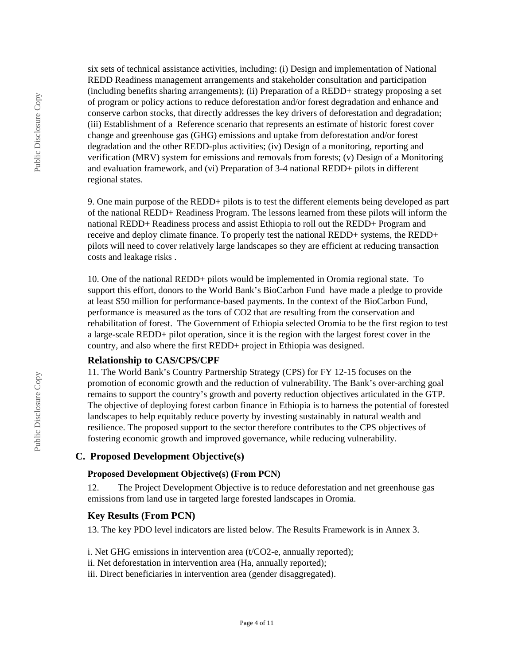six sets of technical assistance activities, including: (i) Design and implementation of National REDD Readiness management arrangements and stakeholder consultation and participation (including benefits sharing arrangements); (ii) Preparation of a REDD+ strategy proposing a set of program or policy actions to reduce deforestation and/or forest degradation and enhance and conserve carbon stocks, that directly addresses the key drivers of deforestation and degradation; (iii) Establishment of a Reference scenario that represents an estimate of historic forest cover change and greenhouse gas (GHG) emissions and uptake from deforestation and/or forest degradation and the other REDD-plus activities; (iv) Design of a monitoring, reporting and verification (MRV) system for emissions and removals from forests; (v) Design of a Monitoring and evaluation framework, and (vi) Preparation of 3-4 national REDD+ pilots in different regional states.

9. One main purpose of the REDD+ pilots is to test the different elements being developed as part of the national REDD+ Readiness Program. The lessons learned from these pilots will inform the national REDD+ Readiness process and assist Ethiopia to roll out the REDD+ Program and receive and deploy climate finance. To properly test the national REDD+ systems, the REDD+ pilots will need to cover relatively large landscapes so they are efficient at reducing transaction costs and leakage risks .

10. One of the national REDD+ pilots would be implemented in Oromia regional state. To support this effort, donors to the World Bank's BioCarbon Fund have made a pledge to provide at least \$50 million for performance-based payments. In the context of the BioCarbon Fund, performance is measured as the tons of CO2 that are resulting from the conservation and rehabilitation of forest. The Government of Ethiopia selected Oromia to be the first region to test a large-scale REDD+ pilot operation, since it is the region with the largest forest cover in the country, and also where the first REDD+ project in Ethiopia was designed.

### **Relationship to CAS/CPS/CPF**

11. The World Bank's Country Partnership Strategy (CPS) for FY 12-15 focuses on the promotion of economic growth and the reduction of vulnerability. The Bank's over-arching goal remains to support the country's growth and poverty reduction objectives articulated in the GTP. The objective of deploying forest carbon finance in Ethiopia is to harness the potential of forested landscapes to help equitably reduce poverty by investing sustainably in natural wealth and resilience. The proposed support to the sector therefore contributes to the CPS objectives of fostering economic growth and improved governance, while reducing vulnerability.

### **C. Proposed Development Objective(s)**

#### **Proposed Development Objective(s) (From PCN)**

12. The Project Development Objective is to reduce deforestation and net greenhouse gas emissions from land use in targeted large forested landscapes in Oromia.

#### **Key Results (From PCN)**

13. The key PDO level indicators are listed below. The Results Framework is in Annex 3.

- i. Net GHG emissions in intervention area (t/CO2-e, annually reported);
- ii. Net deforestation in intervention area (Ha, annually reported);
- iii. Direct beneficiaries in intervention area (gender disaggregated).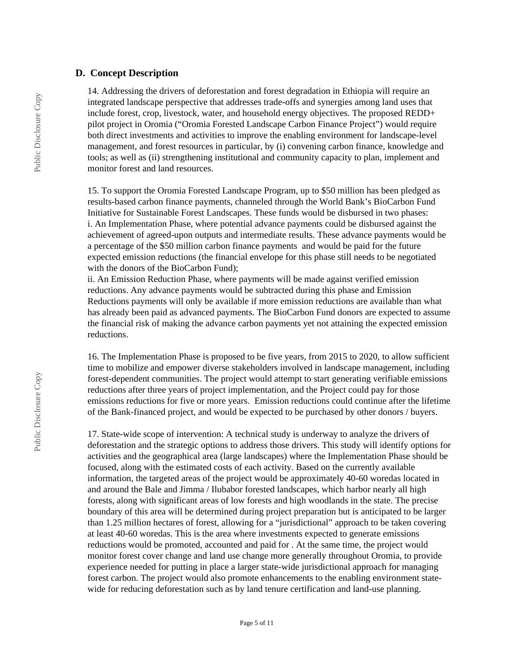#### **D. Concept Description**

14. Addressing the drivers of deforestation and forest degradation in Ethiopia will require an integrated landscape perspective that addresses trade-offs and synergies among land uses that include forest, crop, livestock, water, and household energy objectives. The proposed REDD+ pilot project in Oromia ("Oromia Forested Landscape Carbon Finance Project") would require both direct investments and activities to improve the enabling environment for landscape-level management, and forest resources in particular, by (i) convening carbon finance, knowledge and tools; as well as (ii) strengthening institutional and community capacity to plan, implement and monitor forest and land resources.

15. To support the Oromia Forested Landscape Program, up to \$50 million has been pledged as results-based carbon finance payments, channeled through the World Bank's BioCarbon Fund Initiative for Sustainable Forest Landscapes. These funds would be disbursed in two phases: i. An Implementation Phase, where potential advance payments could be disbursed against the achievement of agreed-upon outputs and intermediate results. These advance payments would be a percentage of the \$50 million carbon finance payments and would be paid for the future expected emission reductions (the financial envelope for this phase still needs to be negotiated with the donors of the BioCarbon Fund);

ii. An Emission Reduction Phase, where payments will be made against verified emission reductions. Any advance payments would be subtracted during this phase and Emission Reductions payments will only be available if more emission reductions are available than what has already been paid as advanced payments. The BioCarbon Fund donors are expected to assume the financial risk of making the advance carbon payments yet not attaining the expected emission reductions.

16. The Implementation Phase is proposed to be five years, from 2015 to 2020, to allow sufficient time to mobilize and empower diverse stakeholders involved in landscape management, including forest-dependent communities. The project would attempt to start generating verifiable emissions reductions after three years of project implementation, and the Project could pay for those emissions reductions for five or more years. Emission reductions could continue after the lifetime of the Bank-financed project, and would be expected to be purchased by other donors / buyers.

17. State-wide scope of intervention: A technical study is underway to analyze the drivers of deforestation and the strategic options to address those drivers. This study will identify options for activities and the geographical area (large landscapes) where the Implementation Phase should be focused, along with the estimated costs of each activity. Based on the currently available information, the targeted areas of the project would be approximately 40-60 woredas located in and around the Bale and Jimma / Ilubabor forested landscapes, which harbor nearly all high forests, along with significant areas of low forests and high woodlands in the state. The precise boundary of this area will be determined during project preparation but is anticipated to be larger than 1.25 million hectares of forest, allowing for a "jurisdictional" approach to be taken covering at least 40-60 woredas. This is the area where investments expected to generate emissions reductions would be promoted, accounted and paid for . At the same time, the project would monitor forest cover change and land use change more generally throughout Oromia, to provide experience needed for putting in place a larger state-wide jurisdictional approach for managing forest carbon. The project would also promote enhancements to the enabling environment statewide for reducing deforestation such as by land tenure certification and land-use planning.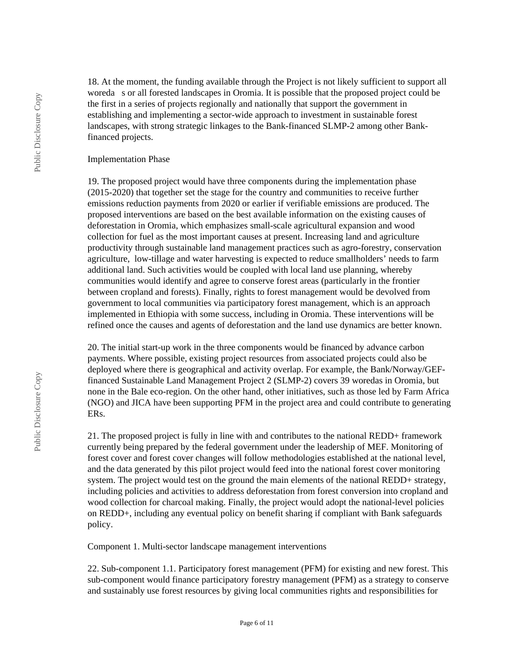18. At the moment, the funding available through the Project is not likely sufficient to support all woreda s or all forested landscapes in Oromia. It is possible that the proposed project could be the first in a series of projects regionally and nationally that support the government in establishing and implementing a sector-wide approach to investment in sustainable forest landscapes, with strong strategic linkages to the Bank-financed SLMP-2 among other Bankfinanced projects.

#### Implementation Phase

19. The proposed project would have three components during the implementation phase (2015-2020) that together set the stage for the country and communities to receive further emissions reduction payments from 2020 or earlier if verifiable emissions are produced. The proposed interventions are based on the best available information on the existing causes of deforestation in Oromia, which emphasizes small-scale agricultural expansion and wood collection for fuel as the most important causes at present. Increasing land and agriculture productivity through sustainable land management practices such as agro-forestry, conservation agriculture, low-tillage and water harvesting is expected to reduce smallholders' needs to farm additional land. Such activities would be coupled with local land use planning, whereby communities would identify and agree to conserve forest areas (particularly in the frontier between cropland and forests). Finally, rights to forest management would be devolved from government to local communities via participatory forest management, which is an approach implemented in Ethiopia with some success, including in Oromia. These interventions will be refined once the causes and agents of deforestation and the land use dynamics are better known.

20. The initial start-up work in the three components would be financed by advance carbon payments. Where possible, existing project resources from associated projects could also be deployed where there is geographical and activity overlap. For example, the Bank/Norway/GEFfinanced Sustainable Land Management Project 2 (SLMP-2) covers 39 woredas in Oromia, but none in the Bale eco-region. On the other hand, other initiatives, such as those led by Farm Africa (NGO) and JICA have been supporting PFM in the project area and could contribute to generating ERs.

21. The proposed project is fully in line with and contributes to the national REDD+ framework currently being prepared by the federal government under the leadership of MEF. Monitoring of forest cover and forest cover changes will follow methodologies established at the national level, and the data generated by this pilot project would feed into the national forest cover monitoring system. The project would test on the ground the main elements of the national REDD+ strategy, including policies and activities to address deforestation from forest conversion into cropland and wood collection for charcoal making. Finally, the project would adopt the national-level policies on REDD+, including any eventual policy on benefit sharing if compliant with Bank safeguards policy.

Component 1. Multi-sector landscape management interventions

22. Sub-component 1.1. Participatory forest management (PFM) for existing and new forest. This sub-component would finance participatory forestry management (PFM) as a strategy to conserve and sustainably use forest resources by giving local communities rights and responsibilities for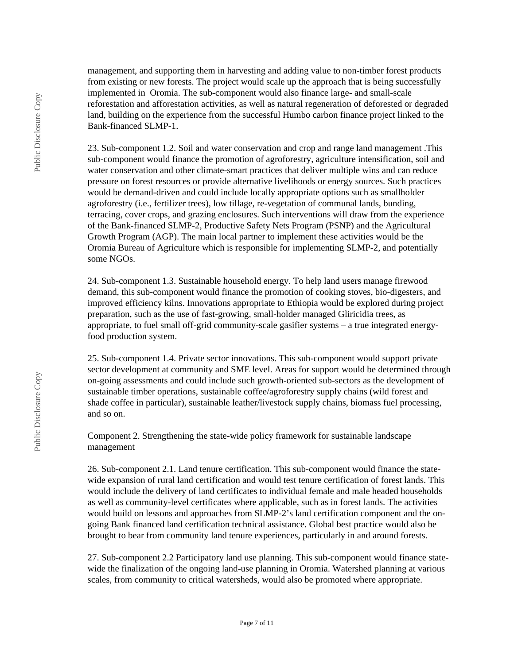management, and supporting them in harvesting and adding value to non-timber forest products from existing or new forests. The project would scale up the approach that is being successfully implemented in Oromia. The sub-component would also finance large- and small-scale reforestation and afforestation activities, as well as natural regeneration of deforested or degraded land, building on the experience from the successful Humbo carbon finance project linked to the Bank-financed SLMP-1.

23. Sub-component 1.2. Soil and water conservation and crop and range land management .This sub-component would finance the promotion of agroforestry, agriculture intensification, soil and water conservation and other climate-smart practices that deliver multiple wins and can reduce pressure on forest resources or provide alternative livelihoods or energy sources. Such practices would be demand-driven and could include locally appropriate options such as smallholder agroforestry (i.e., fertilizer trees), low tillage, re-vegetation of communal lands, bunding, terracing, cover crops, and grazing enclosures. Such interventions will draw from the experience of the Bank-financed SLMP-2, Productive Safety Nets Program (PSNP) and the Agricultural Growth Program (AGP). The main local partner to implement these activities would be the Oromia Bureau of Agriculture which is responsible for implementing SLMP-2, and potentially some NGOs.

24. Sub-component 1.3. Sustainable household energy. To help land users manage firewood demand, this sub-component would finance the promotion of cooking stoves, bio-digesters, and improved efficiency kilns. Innovations appropriate to Ethiopia would be explored during project preparation, such as the use of fast-growing, small-holder managed Gliricidia trees, as appropriate, to fuel small off-grid community-scale gasifier systems – a true integrated energyfood production system.

25. Sub-component 1.4. Private sector innovations. This sub-component would support private sector development at community and SME level. Areas for support would be determined through on-going assessments and could include such growth-oriented sub-sectors as the development of sustainable timber operations, sustainable coffee/agroforestry supply chains (wild forest and shade coffee in particular), sustainable leather/livestock supply chains, biomass fuel processing, and so on.

Component 2. Strengthening the state-wide policy framework for sustainable landscape management

26. Sub-component 2.1. Land tenure certification. This sub-component would finance the statewide expansion of rural land certification and would test tenure certification of forest lands. This would include the delivery of land certificates to individual female and male headed households as well as community-level certificates where applicable, such as in forest lands. The activities would build on lessons and approaches from SLMP-2's land certification component and the ongoing Bank financed land certification technical assistance. Global best practice would also be brought to bear from community land tenure experiences, particularly in and around forests.

27. Sub-component 2.2 Participatory land use planning. This sub-component would finance statewide the finalization of the ongoing land-use planning in Oromia. Watershed planning at various scales, from community to critical watersheds, would also be promoted where appropriate.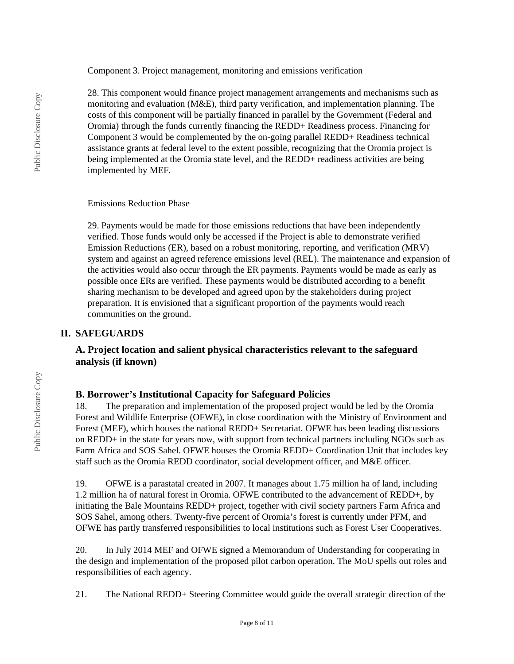Component 3. Project management, monitoring and emissions verification

28. This component would finance project management arrangements and mechanisms such as monitoring and evaluation (M&E), third party verification, and implementation planning. The costs of this component will be partially financed in parallel by the Government (Federal and Oromia) through the funds currently financing the REDD+ Readiness process. Financing for Component 3 would be complemented by the on-going parallel REDD+ Readiness technical assistance grants at federal level to the extent possible, recognizing that the Oromia project is being implemented at the Oromia state level, and the REDD+ readiness activities are being implemented by MEF.

Emissions Reduction Phase

29. Payments would be made for those emissions reductions that have been independently verified. Those funds would only be accessed if the Project is able to demonstrate verified Emission Reductions (ER), based on a robust monitoring, reporting, and verification (MRV) system and against an agreed reference emissions level (REL). The maintenance and expansion of the activities would also occur through the ER payments. Payments would be made as early as possible once ERs are verified. These payments would be distributed according to a benefit sharing mechanism to be developed and agreed upon by the stakeholders during project preparation. It is envisioned that a significant proportion of the payments would reach communities on the ground.

# **II. SAFEGUARDS**

# **A. Project location and salient physical characteristics relevant to the safeguard analysis (if known)**

# **B. Borrower's Institutional Capacity for Safeguard Policies**

18. The preparation and implementation of the proposed project would be led by the Oromia Forest and Wildlife Enterprise (OFWE), in close coordination with the Ministry of Environment and Forest (MEF), which houses the national REDD+ Secretariat. OFWE has been leading discussions on REDD+ in the state for years now, with support from technical partners including NGOs such as Farm Africa and SOS Sahel. OFWE houses the Oromia REDD+ Coordination Unit that includes key staff such as the Oromia REDD coordinator, social development officer, and M&E officer.

19. OFWE is a parastatal created in 2007. It manages about 1.75 million ha of land, including 1.2 million ha of natural forest in Oromia. OFWE contributed to the advancement of REDD+, by initiating the Bale Mountains REDD+ project, together with civil society partners Farm Africa and SOS Sahel, among others. Twenty-five percent of Oromia's forest is currently under PFM, and OFWE has partly transferred responsibilities to local institutions such as Forest User Cooperatives.

20. In July 2014 MEF and OFWE signed a Memorandum of Understanding for cooperating in the design and implementation of the proposed pilot carbon operation. The MoU spells out roles and responsibilities of each agency.

21. The National REDD+ Steering Committee would guide the overall strategic direction of the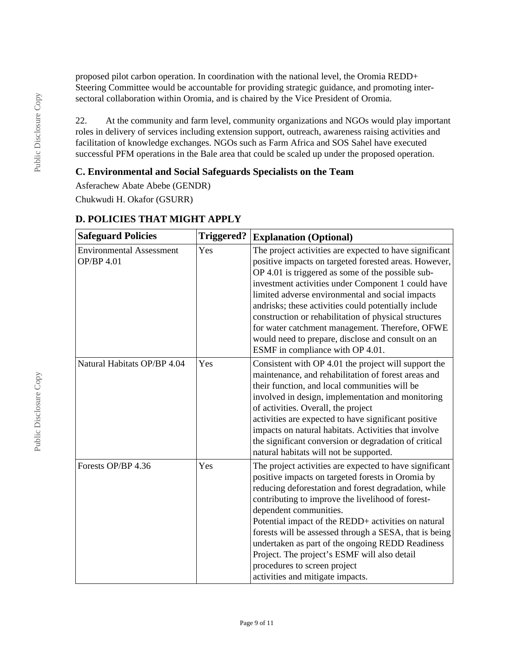proposed pilot carbon operation. In coordination with the national level, the Oromia REDD+ Steering Committee would be accountable for providing strategic guidance, and promoting intersectoral collaboration within Oromia, and is chaired by the Vice President of Oromia.

22. At the community and farm level, community organizations and NGOs would play important roles in delivery of services including extension support, outreach, awareness raising activities and facilitation of knowledge exchanges. NGOs such as Farm Africa and SOS Sahel have executed successful PFM operations in the Bale area that could be scaled up under the proposed operation.

### **C. Environmental and Social Safeguards Specialists on the Team**

Asferachew Abate Abebe (GENDR) Chukwudi H. Okafor (GSURR)

| <b>Safeguard Policies</b>                            | <b>Triggered?</b> | <b>Explanation (Optional)</b>                                                                                                                                                                                                                                                                                                                                                                                                                                                                                                                |
|------------------------------------------------------|-------------------|----------------------------------------------------------------------------------------------------------------------------------------------------------------------------------------------------------------------------------------------------------------------------------------------------------------------------------------------------------------------------------------------------------------------------------------------------------------------------------------------------------------------------------------------|
| <b>Environmental Assessment</b><br><b>OP/BP 4.01</b> | Yes               | The project activities are expected to have significant<br>positive impacts on targeted forested areas. However,<br>OP 4.01 is triggered as some of the possible sub-<br>investment activities under Component 1 could have<br>limited adverse environmental and social impacts<br>andrisks; these activities could potentially include<br>construction or rehabilitation of physical structures<br>for water catchment management. Therefore, OFWE<br>would need to prepare, disclose and consult on an<br>ESMF in compliance with OP 4.01. |
| Natural Habitats OP/BP 4.04                          | Yes               | Consistent with OP 4.01 the project will support the<br>maintenance, and rehabilitation of forest areas and<br>their function, and local communities will be<br>involved in design, implementation and monitoring<br>of activities. Overall, the project<br>activities are expected to have significant positive<br>impacts on natural habitats. Activities that involve<br>the significant conversion or degradation of critical<br>natural habitats will not be supported.                                                                 |
| Forests OP/BP 4.36                                   | Yes               | The project activities are expected to have significant<br>positive impacts on targeted forests in Oromia by<br>reducing deforestation and forest degradation, while<br>contributing to improve the livelihood of forest-<br>dependent communities.<br>Potential impact of the REDD+ activities on natural<br>forests will be assessed through a SESA, that is being<br>undertaken as part of the ongoing REDD Readiness<br>Project. The project's ESMF will also detail<br>procedures to screen project<br>activities and mitigate impacts. |

# **D. POLICIES THAT MIGHT APPLY**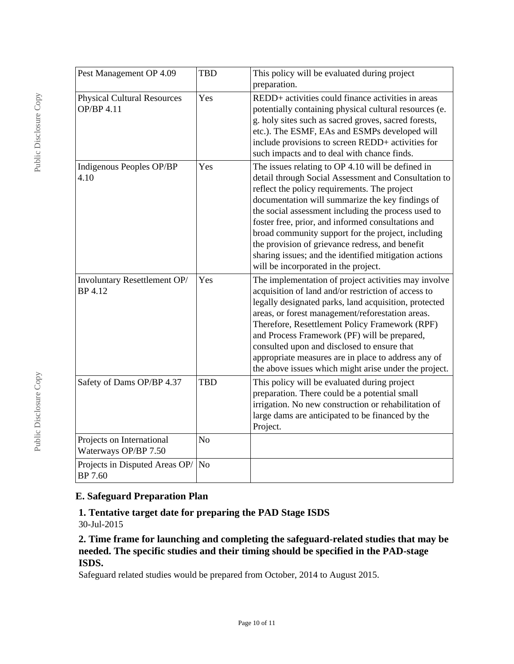| Pest Management OP 4.09                                 | <b>TBD</b>     | This policy will be evaluated during project<br>preparation.                                                                                                                                                                                                                                                                                                                                                                                                                                                                         |
|---------------------------------------------------------|----------------|--------------------------------------------------------------------------------------------------------------------------------------------------------------------------------------------------------------------------------------------------------------------------------------------------------------------------------------------------------------------------------------------------------------------------------------------------------------------------------------------------------------------------------------|
| <b>Physical Cultural Resources</b><br><b>OP/BP 4.11</b> | Yes            | REDD+ activities could finance activities in areas<br>potentially containing physical cultural resources (e.<br>g. holy sites such as sacred groves, sacred forests,<br>etc.). The ESMF, EAs and ESMPs developed will<br>include provisions to screen REDD+ activities for<br>such impacts and to deal with chance finds.                                                                                                                                                                                                            |
| Indigenous Peoples OP/BP<br>4.10                        | Yes            | The issues relating to OP 4.10 will be defined in<br>detail through Social Assessment and Consultation to<br>reflect the policy requirements. The project<br>documentation will summarize the key findings of<br>the social assessment including the process used to<br>foster free, prior, and informed consultations and<br>broad community support for the project, including<br>the provision of grievance redress, and benefit<br>sharing issues; and the identified mitigation actions<br>will be incorporated in the project. |
| Involuntary Resettlement OP/<br><b>BP</b> 4.12          | Yes            | The implementation of project activities may involve<br>acquisition of land and/or restriction of access to<br>legally designated parks, land acquisition, protected<br>areas, or forest management/reforestation areas.<br>Therefore, Resettlement Policy Framework (RPF)<br>and Process Framework (PF) will be prepared,<br>consulted upon and disclosed to ensure that<br>appropriate measures are in place to address any of<br>the above issues which might arise under the project.                                            |
| Safety of Dams OP/BP 4.37                               | <b>TBD</b>     | This policy will be evaluated during project<br>preparation. There could be a potential small<br>irrigation. No new construction or rehabilitation of<br>large dams are anticipated to be financed by the<br>Project.                                                                                                                                                                                                                                                                                                                |
| Projects on International<br>Waterways OP/BP 7.50       | N <sub>o</sub> |                                                                                                                                                                                                                                                                                                                                                                                                                                                                                                                                      |
| Projects in Disputed Areas OP/<br>BP 7.60               | N <sub>o</sub> |                                                                                                                                                                                                                                                                                                                                                                                                                                                                                                                                      |

# **E. Safeguard Preparation Plan**

### **1. Tentative target date for preparing the PAD Stage ISDS** 30-Jul-2015

### **2. Time frame for launching and completing the safeguard-related studies that may be needed. The specific studies and their timing should be specified in the PAD-stage ISDS.**

Safeguard related studies would be prepared from October, 2014 to August 2015.